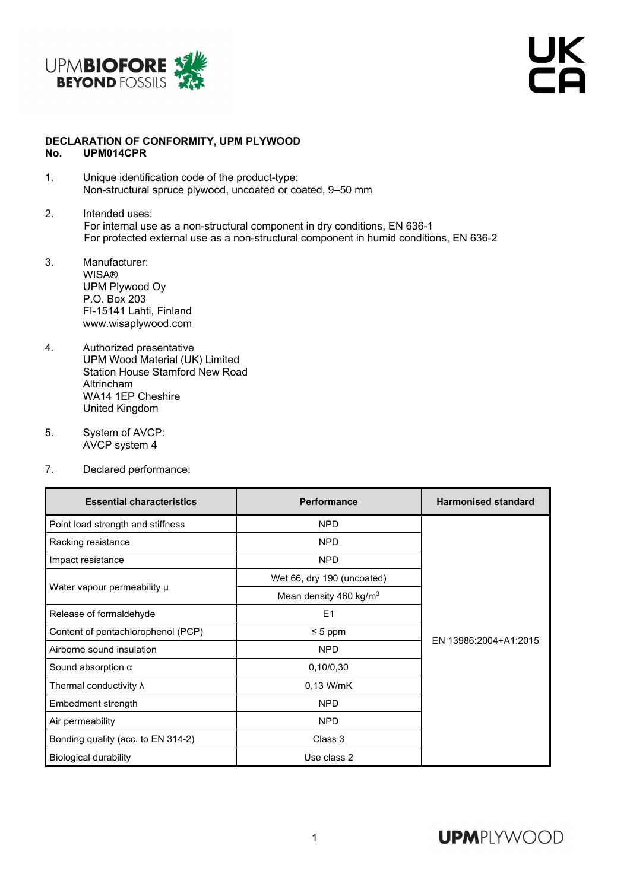

UK<br>CA

## **DECLARATION OF CONFORMITY, UPM PLYWOOD No. UPM014CPR**

- 1. Unique identification code of the product-type: Non-structural spruce plywood, uncoated or coated, 9–50 mm
- 2. Intended uses: For internal use as a non-structural component in dry conditions, EN 636-1 For protected external use as a non-structural component in humid conditions, EN 636-2
- 3. Manufacturer: **WISA®** UPM Plywood Oy P.O. Box 203 FI-15141 Lahti, Finland www.wisaplywood.com
- 4. Authorized presentative UPM Wood Material (UK) Limited Station House Stamford New Road Altrincham WA14 1EP Cheshire United Kingdom
- 5. System of AVCP: AVCP system 4
- 7. Declared performance:

| <b>Essential characteristics</b>   | <b>Performance</b>                 | <b>Harmonised standard</b> |
|------------------------------------|------------------------------------|----------------------------|
| Point load strength and stiffness  | <b>NPD</b>                         |                            |
| Racking resistance                 | <b>NPD</b>                         | EN 13986:2004+A1:2015      |
| Impact resistance                  | <b>NPD</b>                         |                            |
| Water vapour permeability µ        | Wet 66, dry 190 (uncoated)         |                            |
|                                    | Mean density 460 kg/m <sup>3</sup> |                            |
| Release of formaldehyde            | E <sub>1</sub>                     |                            |
| Content of pentachlorophenol (PCP) | $\leq 5$ ppm                       |                            |
| Airborne sound insulation          | <b>NPD</b>                         |                            |
| Sound absorption $\alpha$          | 0,10/0,30                          |                            |
| Thermal conductivity $\lambda$     | 0,13 W/mK                          |                            |
| Embedment strength                 | <b>NPD</b>                         |                            |
| Air permeability                   | <b>NPD</b>                         |                            |
| Bonding quality (acc. to EN 314-2) | Class 3                            |                            |
| <b>Biological durability</b>       | Use class 2                        |                            |